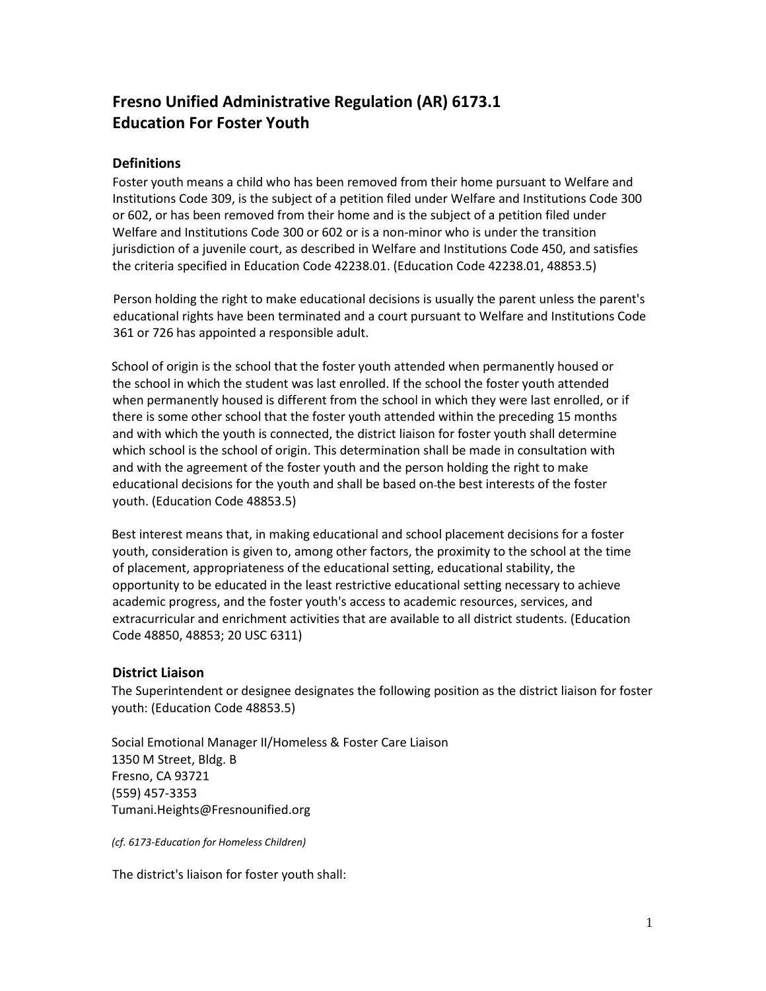# **Fresno Unified Administrative Regulation (AR) 6173.1 Education For Foster Youth**

# **Definitions**

Foster youth means a child who has been removed from their home pursuant to Welfare and Institutions Code 309, is the subject of a petition filed under Welfare and Institutions Code 300 or 602, or has been removed from their home and is the subject of a petition filed under Welfare and Institutions Code 300 or 602 or is a non-minor who is under the transition jurisdiction of a juvenile court, as described in Welfare and Institutions Code 450, and satisfies the criteria specified in Education Code 42238.01. (Education Code 42238.01, 48853.5)

Person holding the right to make educational decisions is usually the parent unless the parent's educational rights have been terminated and a court pursuant to Welfare and Institutions Code 361 or 726 has appointed a responsible adult.

School of origin is the school that the foster youth attended when permanently housed or the school in which the student was last enrolled. If the school the foster youth attended when permanently housed is different from the school in which they were last enrolled, or if there is some other school that the foster youth attended within the preceding 15 months and with which the youth is connected, the district liaison for foster youth shall determine which school is the school of origin. This determination shall be made in consultation with and with the agreement of the foster youth and the person holding the right to make educational decisions for the youth and shall be based on the best interests of the foster youth. (Education Code 48853.5)

Best interest means that, in making educational and school placement decisions for a foster youth, consideration is given to, among other factors, the proximity to the school at the time of placement, appropriateness of the educational setting, educational stability, the opportunity to be educated in the least restrictive educational setting necessary to achieve academic progress, and the foster youth's access to academic resources, services, and extracurricular and enrichment activities that are available to all district students. (Education Code 48850, 48853; 20 USC 6311)

# **District Liaison**

The Superintendent or designee designates the following position as the district liaison for foster youth: (Education Code 48853.5)

Social Emotional Manager II/Homeless & Foster Care Liaison 1350 M Street, Bldg. B Fresno, CA 93721 (559) 457-3353 [Tumani.Heights@Fresnounified.org](mailto:Tumani.Heights@Fresnounified.org)

*(cf. 6173-Education for Homeless Children)* 

The district's liaison for foster youth shall: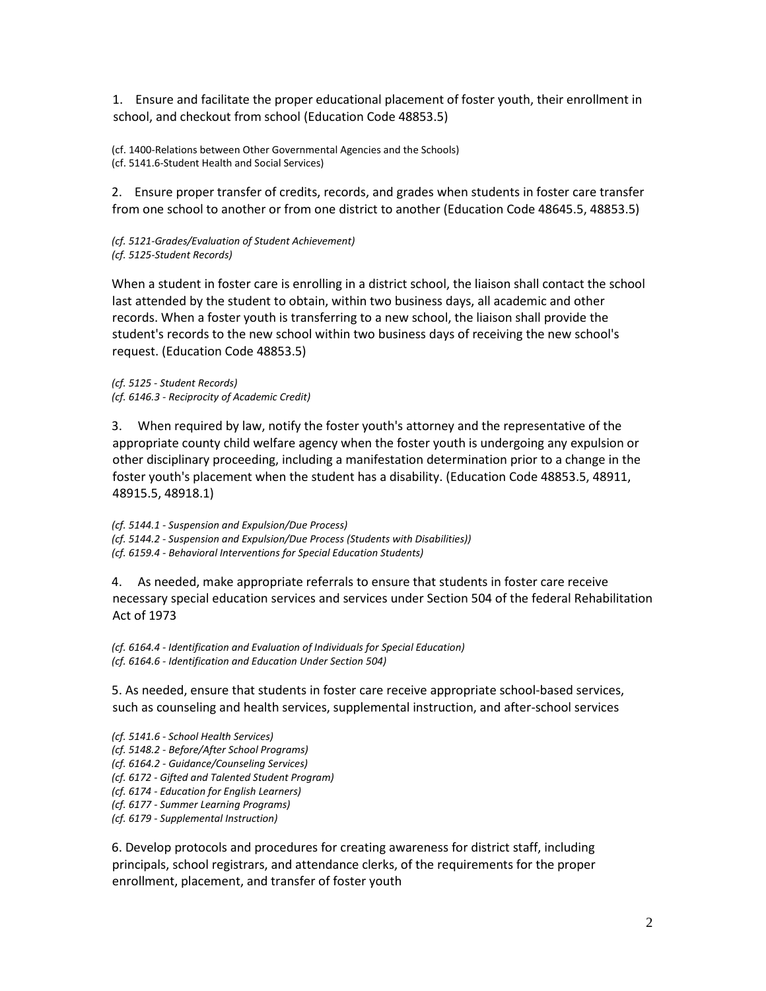1. Ensure and facilitate the proper educational placement of foster youth, their enrollment in school, and checkout from school (Education Code 48853.5)

(cf. 1400-Relations between Other Governmental Agencies and the Schools) (cf. 5141.6-Student Health and Social Services)

2. Ensure proper transfer of credits, records, and grades when students in foster care transfer from one school to another or from one district to another (Education Code 48645.5, 48853.5)

*(cf. 5121-Grades/Evaluation of Student Achievement) (cf. 5125-Student Records)*

When a student in foster care is enrolling in a district school, the liaison shall contact the school last attended by the student to obtain, within two business days, all academic and other records. When a foster youth is transferring to a new school, the liaison shall provide the student's records to the new school within two business days of receiving the new school's request. (Education Code 48853.5)

*(cf. 5125 - Student Records) (cf. 6146.3 - Reciprocity of Academic Credit)*

3. When required by law, notify the foster youth's attorney and the representative of the appropriate county child welfare agency when the foster youth is undergoing any expulsion or other disciplinary proceeding, including a manifestation determination prior to a change in the foster youth's placement when the student has a disability. (Education Code 48853.5, 48911, 48915.5, 48918.1)

*(cf. 5144.1 - Suspension and Expulsion/Due Process) (cf. 5144.2 - Suspension and Expulsion/Due Process (Students with Disabilities)) (cf. 6159.4 - Behavioral Interventions for Special Education Students)*

4. As needed, make appropriate referrals to ensure that students in foster care receive necessary special education services and services under Section 504 of the federal Rehabilitation Act of 1973

*(cf. 6164.4 - Identification and Evaluation of Individuals for Special Education) (cf. 6164.6 - Identification and Education Under Section 504)*

5. As needed, ensure that students in foster care receive appropriate school-based services, such as counseling and health services, supplemental instruction, and after-school services

*(cf. 5141.6 - School Health Services) (cf. 5148.2 - Before/After School Programs) (cf. 6164.2 - Guidance/Counseling Services) (cf. 6172 - Gifted and Talented Student Program) (cf. 6174 - Education for English Learners) (cf. 6177 - Summer Learning Programs) (cf. 6179 - Supplemental Instruction)*

6. Develop protocols and procedures for creating awareness for district staff, including principals, school registrars, and attendance clerks, of the requirements for the proper enrollment, placement, and transfer of foster youth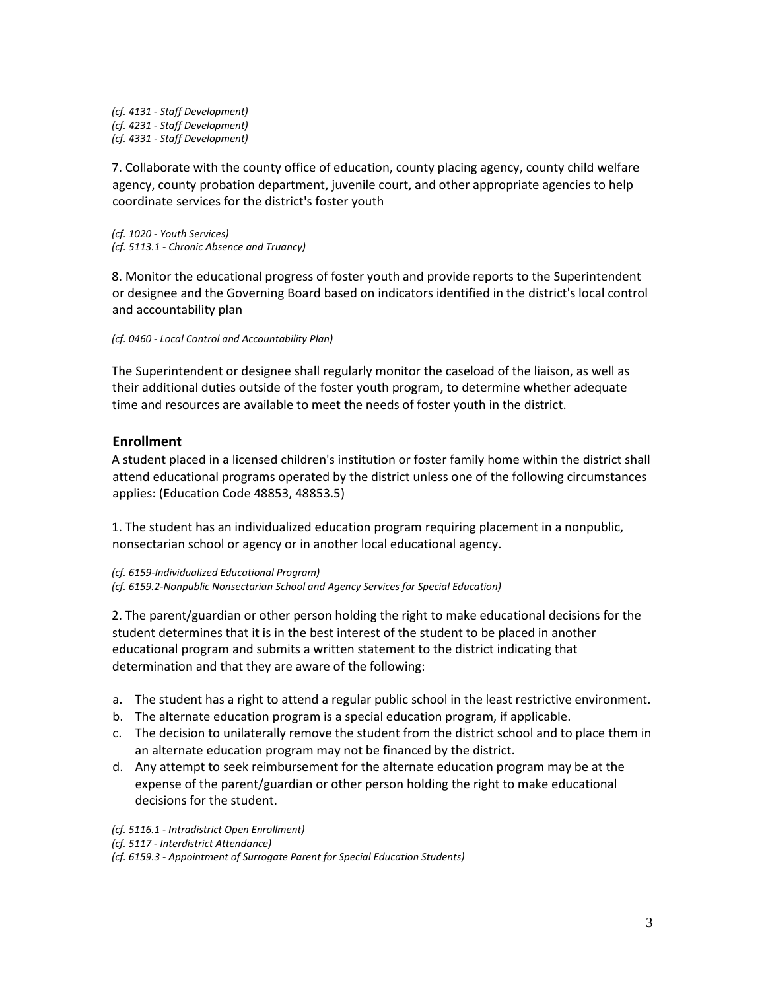*(cf. 4131 - Staff Development) (cf. 4231 - Staff Development) (cf. 4331 - Staff Development)*

7. Collaborate with the county office of education, county placing agency, county child welfare agency, county probation department, juvenile court, and other appropriate agencies to help coordinate services for the district's foster youth

*(cf. 1020 - Youth Services) (cf. 5113.1 - Chronic Absence and Truancy)*

8. Monitor the educational progress of foster youth and provide reports to the Superintendent or designee and the Governing Board based on indicators identified in the district's local control and accountability plan

*(cf. 0460 - Local Control and Accountability Plan)*

The Superintendent or designee shall regularly monitor the caseload of the liaison, as well as their additional duties outside of the foster youth program, to determine whether adequate time and resources are available to meet the needs of foster youth in the district.

## **Enrollment**

A student placed in a licensed children's institution or foster family home within the district shall attend educational programs operated by the district unless one of the following circumstances applies: (Education Code 48853, 48853.5)

1. The student has an individualized education program requiring placement in a nonpublic, nonsectarian school or agency or in another local educational agency.

*(cf. 6159-Individualized Educational Program) (cf. 6159.2-Nonpublic Nonsectarian School and Agency Services for Special Education)* 

2. The parent/guardian or other person holding the right to make educational decisions for the student determines that it is in the best interest of the student to be placed in another educational program and submits a written statement to the district indicating that determination and that they are aware of the following:

- a. The student has a right to attend a regular public school in the least restrictive environment.
- b. The alternate education program is a special education program, if applicable.
- c. The decision to unilaterally remove the student from the district school and to place them in an alternate education program may not be financed by the district.
- d. Any attempt to seek reimbursement for the alternate education program may be at the expense of the parent/guardian or other person holding the right to make educational decisions for the student.

*(cf. 5116.1 - Intradistrict Open Enrollment)*

*(cf. 5117 - Interdistrict Attendance)*

*(cf. 6159.3 - Appointment of Surrogate Parent for Special Education Students)*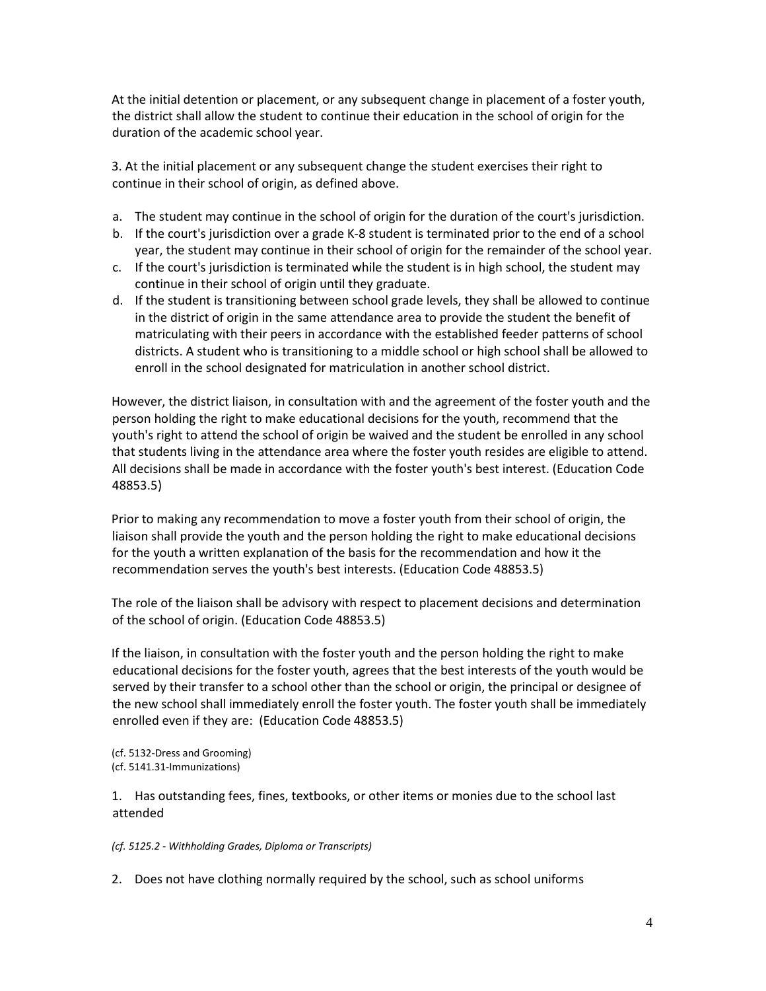At the initial detention or placement, or any subsequent change in placement of a foster youth, the district shall allow the student to continue their education in the school of origin for the duration of the academic school year.

3. At the initial placement or any subsequent change the student exercises their right to continue in their school of origin, as defined above.

- a. The student may continue in the school of origin for the duration of the court's jurisdiction.
- b. If the court's jurisdiction over a grade K-8 student is terminated prior to the end of a school year, the student may continue in their school of origin for the remainder of the school year.
- c. If the court's jurisdiction is terminated while the student is in high school, the student may continue in their school of origin until they graduate.
- d. If the student is transitioning between school grade levels, they shall be allowed to continue in the district of origin in the same attendance area to provide the student the benefit of matriculating with their peers in accordance with the established feeder patterns of school districts. A student who is transitioning to a middle school or high school shall be allowed to enroll in the school designated for matriculation in another school district.

However, the district liaison, in consultation with and the agreement of the foster youth and the person holding the right to make educational decisions for the youth, recommend that the youth's right to attend the school of origin be waived and the student be enrolled in any school that students living in the attendance area where the foster youth resides are eligible to attend. All decisions shall be made in accordance with the foster youth's best interest. (Education Code 48853.5)

Prior to making any recommendation to move a foster youth from their school of origin, the liaison shall provide the youth and the person holding the right to make educational decisions for the youth a written explanation of the basis for the recommendation and how it the recommendation serves the youth's best interests. (Education Code 48853.5)

The role of the liaison shall be advisory with respect to placement decisions and determination of the school of origin. (Education Code 48853.5)

If the liaison, in consultation with the foster youth and the person holding the right to make educational decisions for the foster youth, agrees that the best interests of the youth would be served by their transfer to a school other than the school or origin, the principal or designee of the new school shall immediately enroll the foster youth. The foster youth shall be immediately enrolled even if they are: (Education Code 48853.5)

(cf. 5132-Dress and Grooming) (cf. 5141.31-Immunizations)

1. Has outstanding fees, fines, textbooks, or other items or monies due to the school last attended

*(cf. 5125.2 - Withholding Grades, Diploma or Transcripts)*

2. Does not have clothing normally required by the school, such as school uniforms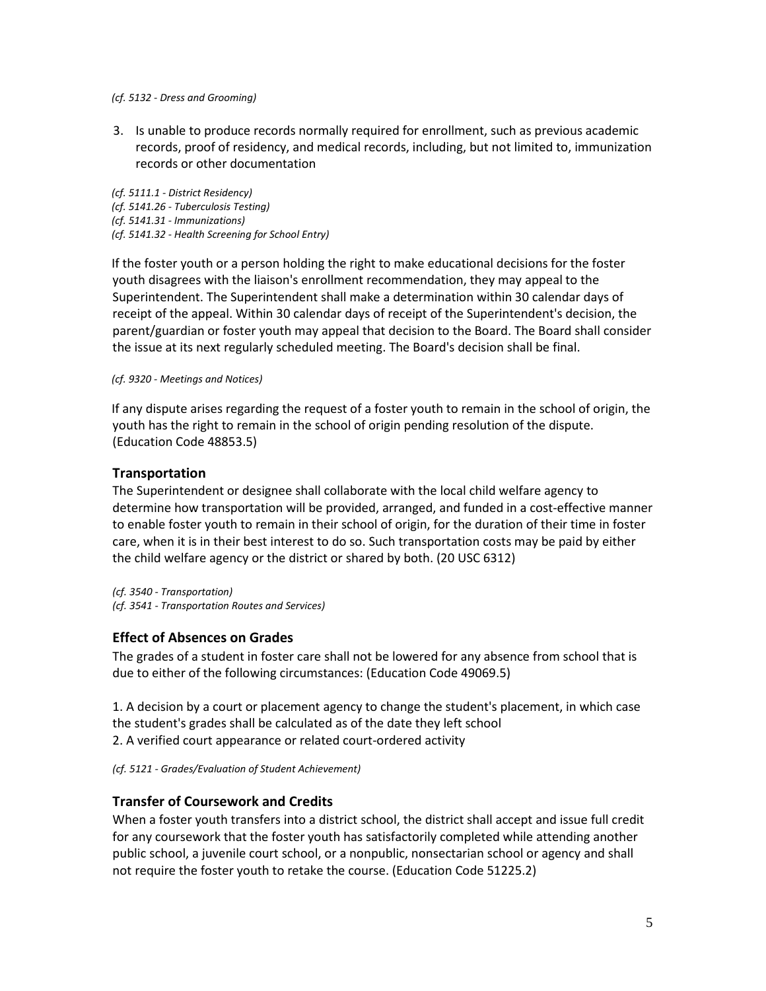#### *(cf. 5132 - Dress and Grooming)*

3. Is unable to produce records normally required for enrollment, such as previous academic records, proof of residency, and medical records, including, but not limited to, immunization records or other documentation

*(cf. 5111.1 - District Residency) (cf. 5141.26 - Tuberculosis Testing) (cf. 5141.31 - Immunizations) (cf. 5141.32 - Health Screening for School Entry)*

If the foster youth or a person holding the right to make educational decisions for the foster youth disagrees with the liaison's enrollment recommendation, they may appeal to the Superintendent. The Superintendent shall make a determination within 30 calendar days of receipt of the appeal. Within 30 calendar days of receipt of the Superintendent's decision, the parent/guardian or foster youth may appeal that decision to the Board. The Board shall consider the issue at its next regularly scheduled meeting. The Board's decision shall be final.

#### *(cf. 9320 - Meetings and Notices)*

If any dispute arises regarding the request of a foster youth to remain in the school of origin, the youth has the right to remain in the school of origin pending resolution of the dispute. (Education Code 48853.5)

#### **Transportation**

The Superintendent or designee shall collaborate with the local child welfare agency to determine how transportation will be provided, arranged, and funded in a cost-effective manner to enable foster youth to remain in their school of origin, for the duration of their time in foster care, when it is in their best interest to do so. Such transportation costs may be paid by either the child welfare agency or the district or shared by both. (20 USC [6312\)](http://gamutonline.net/displayPolicy/190143/6)

*(cf[. 3540](http://gamutonline.net/displayPolicy/171477/6) - Transportation) (cf[. 3541](http://gamutonline.net/displayPolicy/324890/6) - Transportation Routes and Services)*

## **Effect of Absences on Grades**

The grades of a student in foster care shall not be lowered for any absence from school that is due to either of the following circumstances: (Education Code 49069.5)

1. A decision by a court or placement agency to change the student's placement, in which case the student's grades shall be calculated as of the date they left school 2. A verified court appearance or related court-ordered activity

*(cf[. 5121](http://gamutonline.net/displayPolicy/1053072/6) - Grades/Evaluation of Student Achievement)*

## **Transfer of Coursework and Credits**

When a foster youth transfers into a district school, the district shall accept and issue full credit for any coursework that the foster youth has satisfactorily completed while attending another public school, a juvenile court school, or a nonpublic, nonsectarian school or agency and shall not require the foster youth to retake the course. (Education Code [51225.2\)](http://gamutonline.net/displayPolicy/1007258/6)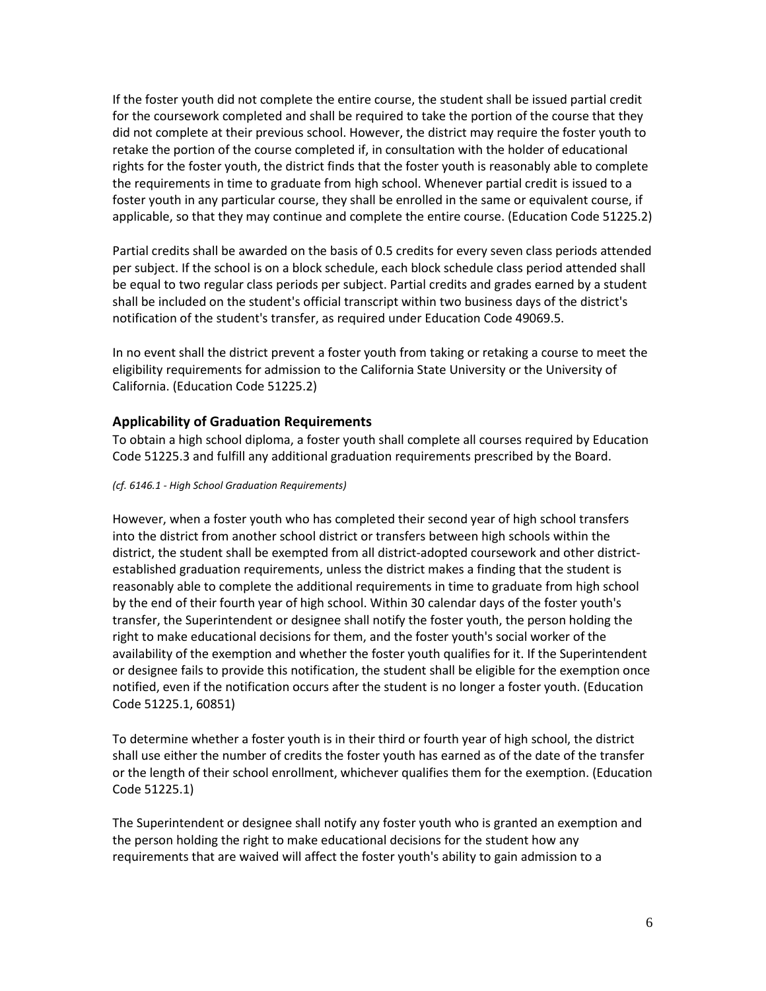If the foster youth did not complete the entire course, the student shall be issued partial credit for the coursework completed and shall be required to take the portion of the course that they did not complete at their previous school. However, the district may require the foster youth to retake the portion of the course completed if, in consultation with the holder of educational rights for the foster youth, the district finds that the foster youth is reasonably able to complete the requirements in time to graduate from high school. Whenever partial credit is issued to a foster youth in any particular course, they shall be enrolled in the same or equivalent course, if applicable, so that they may continue and complete the entire course. (Education Code [51225.2\)](http://gamutonline.net/displayPolicy/1007258/6)

Partial credits shall be awarded on the basis of 0.5 credits for every seven class periods attended per subject. If the school is on a block schedule, each block schedule class period attended shall be equal to two regular class periods per subject. Partial credits and grades earned by a student shall be included on the student's official transcript within two business days of the district's notification of the student's transfer, as required under Education Code 49069.5.

In no event shall the district prevent a foster youth from taking or retaking a course to meet the eligibility requirements for admission to the California State University or the University of California. (Education Code [51225.2\)](http://gamutonline.net/displayPolicy/1007258/6)

# **Applicability of Graduation Requirements**

To obtain a high school diploma, a foster youth shall complete all courses required by Education Cod[e 51225.3](http://gamutonline.net/displayPolicy/899634/6) and fulfill any additional graduation requirements prescribed by the Board.

#### *(cf[. 6146.1](http://gamutonline.net/displayPolicy/352667/6) - High School Graduation Requirements)*

However, when a foster youth who has completed their second year of high school transfers into the district from another school district or transfers between high schools within the district, the student shall be exempted from all district-adopted coursework and other districtestablished graduation requirements, unless the district makes a finding that the student is reasonably able to complete the additional requirements in time to graduate from high school by the end of their fourth year of high school. Within 30 calendar days of the foster youth's transfer, the Superintendent or designee shall notify the foster youth, the person holding the right to make educational decisions for them, and the foster youth's social worker of the availability of the exemption and whether the foster youth qualifies for it. If the Superintendent or designee fails to provide this notification, the student shall be eligible for the exemption once notified, even if the notification occurs after the student is no longer a foster youth. (Education Code [51225.1,](http://gamutonline.net/displayPolicy/1007257/6) [60851\)](http://gamutonline.net/displayPolicy/138886/6)

To determine whether a foster youth is in their third or fourth year of high school, the district shall use either the number of credits the foster youth has earned as of the date of the transfer or the length of their school enrollment, whichever qualifies them for the exemption. (Education Cod[e 51225.1\)](http://gamutonline.net/displayPolicy/1007257/6)

The Superintendent or designee shall notify any foster youth who is granted an exemption and the person holding the right to make educational decisions for the student how any requirements that are waived will affect the foster youth's ability to gain admission to a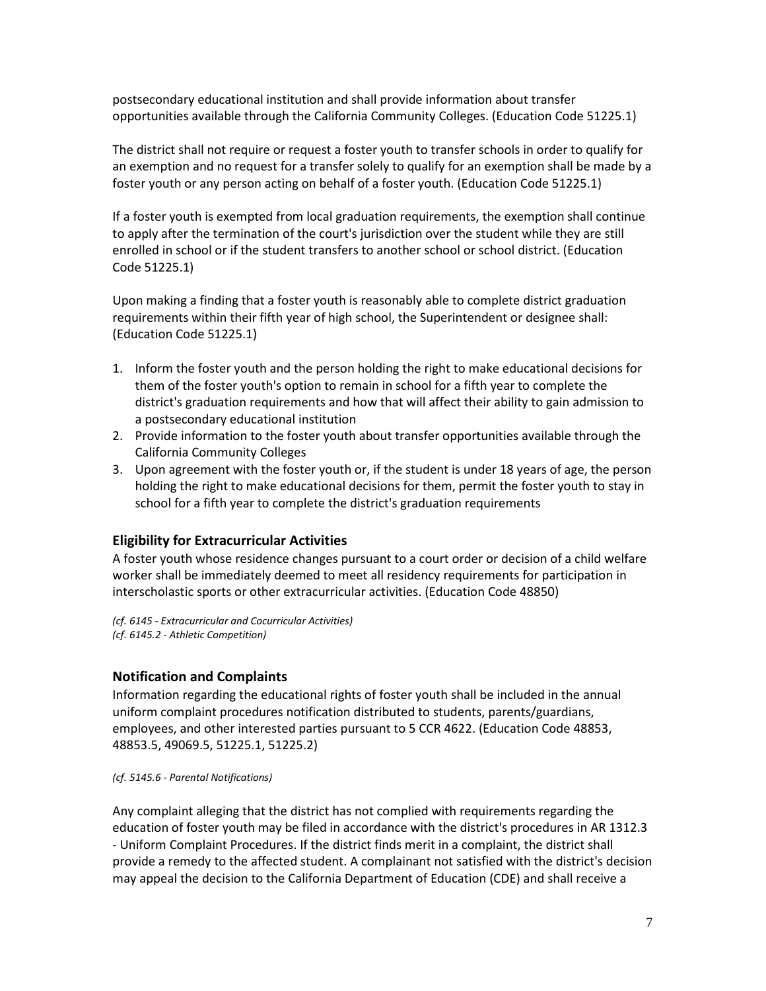postsecondary educational institution and shall provide information about transfer opportunities available through the California Community Colleges. (Education Code [51225.1\)](http://gamutonline.net/displayPolicy/1007257/6)

The district shall not require or request a foster youth to transfer schools in order to qualify for an exemption and no request for a transfer solely to qualify for an exemption shall be made by a foster youth or any person acting on behalf of a foster youth. (Education Code [51225.1\)](http://gamutonline.net/displayPolicy/1007257/6)

If a foster youth is exempted from local graduation requirements, the exemption shall continue to apply after the termination of the court's jurisdiction over the student while they are still enrolled in school or if the student transfers to another school or school district. (Education Cod[e 51225.1\)](http://gamutonline.net/displayPolicy/1007257/6)

Upon making a finding that a foster youth is reasonably able to complete district graduation requirements within their fifth year of high school, the Superintendent or designee shall: (Education Code [51225.1\)](http://gamutonline.net/displayPolicy/1007257/6)

- 1. Inform the foster youth and the person holding the right to make educational decisions for them of the foster youth's option to remain in school for a fifth year to complete the district's graduation requirements and how that will affect their ability to gain admission to a postsecondary educational institution
- 2. Provide information to the foster youth about transfer opportunities available through the California Community Colleges
- 3. Upon agreement with the foster youth or, if the student is under 18 years of age, the person holding the right to make educational decisions for them, permit the foster youth to stay in school for a fifth year to complete the district's graduation requirements

## **Eligibility for Extracurricular Activities**

A foster youth whose residence changes pursuant to a court order or decision of a child welfare worker shall be immediately deemed to meet all residency requirements for participation in interscholastic sports or other extracurricular activities. (Education Code [48850\)](http://gamutonline.net/displayPolicy/137886/6)

*(cf[. 6145](http://gamutonline.net/displayPolicy/1075009/6) - Extracurricular and Cocurricular Activities) (cf[. 6145.2](http://gamutonline.net/displayPolicy/1075010/6) - Athletic Competition)*

## **Notification and Complaints**

Information regarding the educational rights of foster youth shall be included in the annual uniform complaint procedures notification distributed to students, parents/guardians, employees, and other interested parties pursuant to 5 CCR [4622.](http://gamutonline.net/displayPolicy/187025/6) (Education Cod[e 48853,](http://gamutonline.net/displayPolicy/315648/6) [48853.5,](http://gamutonline.net/displayPolicy/315649/6) 49069.5, [51225.1,](http://gamutonline.net/displayPolicy/1007257/6) [51225.2\)](http://gamutonline.net/displayPolicy/1007258/6)

#### *(cf[. 5145.6](http://gamutonline.net/displayPolicy/222839/6) - Parental Notifications)*

Any complaint alleging that the district has not complied with requirements regarding the education of foster youth may be filed in accordance with the district's procedures in AR 1312.3 - Uniform Complaint Procedures. If the district finds merit in a complaint, the district shall provide a remedy to the affected student. A complainant not satisfied with the district's decision may appeal the decision to the California Department of Education (CDE) and shall receive a